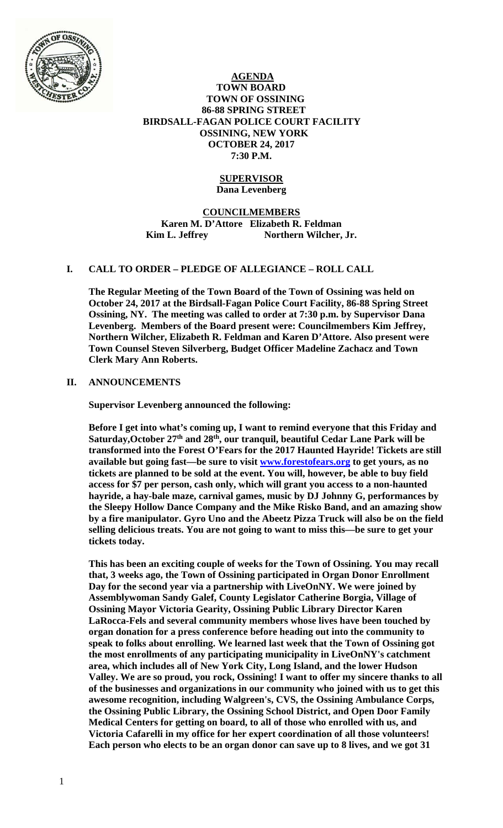

 **AGENDA TOWN BOARD TOWN OF OSSINING 86-88 SPRING STREET BIRDSALL-FAGAN POLICE COURT FACILITY OSSINING, NEW YORK OCTOBER 24, 2017 7:30 P.M.** 

#### **SUPERVISOR Dana Levenberg**

**COUNCILMEMBERS Karen M. D'Attore Elizabeth R. Feldman**  Kim L. Jeffrey Northern Wilcher, Jr.

## **I. CALL TO ORDER – PLEDGE OF ALLEGIANCE – ROLL CALL**

**The Regular Meeting of the Town Board of the Town of Ossining was held on October 24, 2017 at the Birdsall-Fagan Police Court Facility, 86-88 Spring Street Ossining, NY. The meeting was called to order at 7:30 p.m. by Supervisor Dana Levenberg. Members of the Board present were: Councilmembers Kim Jeffrey, Northern Wilcher, Elizabeth R. Feldman and Karen D'Attore. Also present were Town Counsel Steven Silverberg, Budget Officer Madeline Zachacz and Town Clerk Mary Ann Roberts.** 

## **II. ANNOUNCEMENTS**

**Supervisor Levenberg announced the following:** 

**Before I get into what's coming up, I want to remind everyone that this Friday and**  Saturday, October 27<sup>th</sup> and 28<sup>th</sup>, our tranquil, beautiful Cedar Lane Park will be **transformed into the Forest O'Fears for the 2017 Haunted Hayride! Tickets are still available but going fast—be sure to visit www.forestofears.org to get yours, as no tickets are planned to be sold at the event. You will, however, be able to buy field access for \$7 per person, cash only, which will grant you access to a non-haunted hayride, a hay-bale maze, carnival games, music by DJ Johnny G, performances by the Sleepy Hollow Dance Company and the Mike Risko Band, and an amazing show by a fire manipulator. Gyro Uno and the Abeetz Pizza Truck will also be on the field selling delicious treats. You are not going to want to miss this—be sure to get your tickets today.** 

**This has been an exciting couple of weeks for the Town of Ossining. You may recall that, 3 weeks ago, the Town of Ossining participated in Organ Donor Enrollment Day for the second year via a partnership with LiveOnNY. We were joined by Assemblywoman Sandy Galef, County Legislator Catherine Borgia, Village of Ossining Mayor Victoria Gearity, Ossining Public Library Director Karen LaRocca-Fels and several community members whose lives have been touched by organ donation for a press conference before heading out into the community to speak to folks about enrolling. We learned last week that the Town of Ossining got the most enrollments of any participating municipality in LiveOnNY's catchment area, which includes all of New York City, Long Island, and the lower Hudson Valley. We are so proud, you rock, Ossining! I want to offer my sincere thanks to all of the businesses and organizations in our community who joined with us to get this awesome recognition, including Walgreen's, CVS, the Ossining Ambulance Corps, the Ossining Public Library, the Ossining School District, and Open Door Family Medical Centers for getting on board, to all of those who enrolled with us, and Victoria Cafarelli in my office for her expert coordination of all those volunteers! Each person who elects to be an organ donor can save up to 8 lives, and we got 31**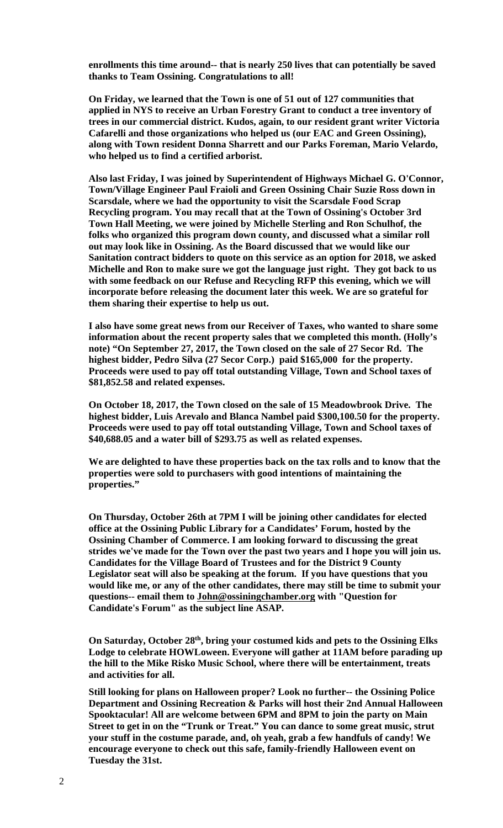**enrollments this time around-- that is nearly 250 lives that can potentially be saved thanks to Team Ossining. Congratulations to all!**

**On Friday, we learned that the Town is one of 51 out of 127 communities that applied in NYS to receive an Urban Forestry Grant to conduct a tree inventory of trees in our commercial district. Kudos, again, to our resident grant writer Victoria Cafarelli and those organizations who helped us (our EAC and Green Ossining), along with Town resident Donna Sharrett and our Parks Foreman, Mario Velardo, who helped us to find a certified arborist.** 

**Also last Friday, I was joined by Superintendent of Highways Michael G. O'Connor, Town/Village Engineer Paul Fraioli and Green Ossining Chair Suzie Ross down in Scarsdale, where we had the opportunity to visit the Scarsdale Food Scrap Recycling program. You may recall that at the Town of Ossining's October 3rd Town Hall Meeting, we were joined by Michelle Sterling and Ron Schulhof, the folks who organized this program down county, and discussed what a similar roll out may look like in Ossining. As the Board discussed that we would like our Sanitation contract bidders to quote on this service as an option for 2018, we asked Michelle and Ron to make sure we got the language just right. They got back to us with some feedback on our Refuse and Recycling RFP this evening, which we will incorporate before releasing the document later this week. We are so grateful for them sharing their expertise to help us out.** 

**I also have some great news from our Receiver of Taxes, who wanted to share some information about the recent property sales that we completed this month. (Holly's note) "On September 27, 2017, the Town closed on the sale of 27 Secor Rd. The highest bidder, Pedro Silva (27 Secor Corp.) paid \$165,000 for the property. Proceeds were used to pay off total outstanding Village, Town and School taxes of \$81,852.58 and related expenses.** 

**On October 18, 2017, the Town closed on the sale of 15 Meadowbrook Drive. The highest bidder, Luis Arevalo and Blanca Nambel paid \$300,100.50 for the property. Proceeds were used to pay off total outstanding Village, Town and School taxes of \$40,688.05 and a water bill of \$293.75 as well as related expenses.** 

**We are delighted to have these properties back on the tax rolls and to know that the properties were sold to purchasers with good intentions of maintaining the properties."** 

**On Thursday, October 26th at 7PM I will be joining other candidates for elected office at the Ossining Public Library for a Candidates' Forum, hosted by the Ossining Chamber of Commerce. I am looking forward to discussing the great strides we've made for the Town over the past two years and I hope you will join us. Candidates for the Village Board of Trustees and for the District 9 County Legislator seat will also be speaking at the forum. If you have questions that you would like me, or any of the other candidates, there may still be time to submit your questions-- email them to John@ossiningchamber.org with "Question for Candidate's Forum" as the subject line ASAP.** 

**On Saturday, October 28th, bring your costumed kids and pets to the Ossining Elks Lodge to celebrate HOWLoween. Everyone will gather at 11AM before parading up the hill to the Mike Risko Music School, where there will be entertainment, treats and activities for all.** 

**Still looking for plans on Halloween proper? Look no further-- the Ossining Police Department and Ossining Recreation & Parks will host their 2nd Annual Halloween Spooktacular! All are welcome between 6PM and 8PM to join the party on Main Street to get in on the "Trunk or Treat." You can dance to some great music, strut your stuff in the costume parade, and, oh yeah, grab a few handfuls of candy! We encourage everyone to check out this safe, family-friendly Halloween event on Tuesday the 31st.**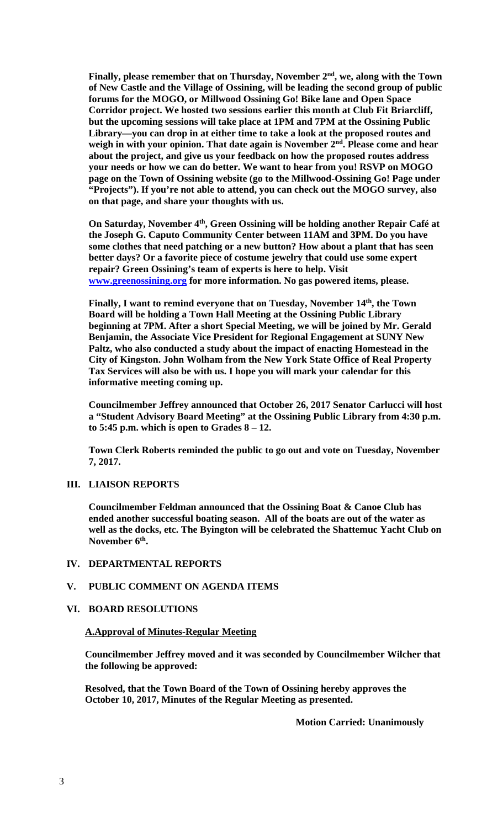Finally, please remember that on Thursday, November 2<sup>nd</sup>, we, along with the Town **of New Castle and the Village of Ossining, will be leading the second group of public forums for the MOGO, or Millwood Ossining Go! Bike lane and Open Space Corridor project. We hosted two sessions earlier this month at Club Fit Briarcliff, but the upcoming sessions will take place at 1PM and 7PM at the Ossining Public Library—you can drop in at either time to take a look at the proposed routes and**  weigh in with your opinion. That date again is November 2<sup>nd</sup>. Please come and hear **about the project, and give us your feedback on how the proposed routes address your needs or how we can do better. We want to hear from you! RSVP on MOGO page on the Town of Ossining website (go to the Millwood-Ossining Go! Page under "Projects"). If you're not able to attend, you can check out the MOGO survey, also on that page, and share your thoughts with us.** 

**On Saturday, November 4<sup>th</sup>, Green Ossining will be holding another Repair Café at the Joseph G. Caputo Community Center between 11AM and 3PM. Do you have some clothes that need patching or a new button? How about a plant that has seen better days? Or a favorite piece of costume jewelry that could use some expert repair? Green Ossining's team of experts is here to help. Visit www.greenossining.org for more information. No gas powered items, please.** 

Finally, I want to remind everyone that on Tuesday, November 14<sup>th</sup>, the Town **Board will be holding a Town Hall Meeting at the Ossining Public Library beginning at 7PM. After a short Special Meeting, we will be joined by Mr. Gerald Benjamin, the Associate Vice President for Regional Engagement at SUNY New Paltz, who also conducted a study about the impact of enacting Homestead in the City of Kingston. John Wolham from the New York State Office of Real Property Tax Services will also be with us. I hope you will mark your calendar for this informative meeting coming up.**

**Councilmember Jeffrey announced that October 26, 2017 Senator Carlucci will host a "Student Advisory Board Meeting" at the Ossining Public Library from 4:30 p.m. to 5:45 p.m. which is open to Grades 8 – 12.** 

**Town Clerk Roberts reminded the public to go out and vote on Tuesday, November 7, 2017.** 

## **III. LIAISON REPORTS**

**Councilmember Feldman announced that the Ossining Boat & Canoe Club has ended another successful boating season. All of the boats are out of the water as well as the docks, etc. The Byington will be celebrated the Shattemuc Yacht Club on**  November 6<sup>th</sup>.

#### **IV. DEPARTMENTAL REPORTS**

#### **V. PUBLIC COMMENT ON AGENDA ITEMS**

#### **VI. BOARD RESOLUTIONS**

#### **A.Approval of Minutes-Regular Meeting**

**Councilmember Jeffrey moved and it was seconded by Councilmember Wilcher that the following be approved:** 

**Resolved, that the Town Board of the Town of Ossining hereby approves the October 10, 2017, Minutes of the Regular Meeting as presented.** 

 **Motion Carried: Unanimously**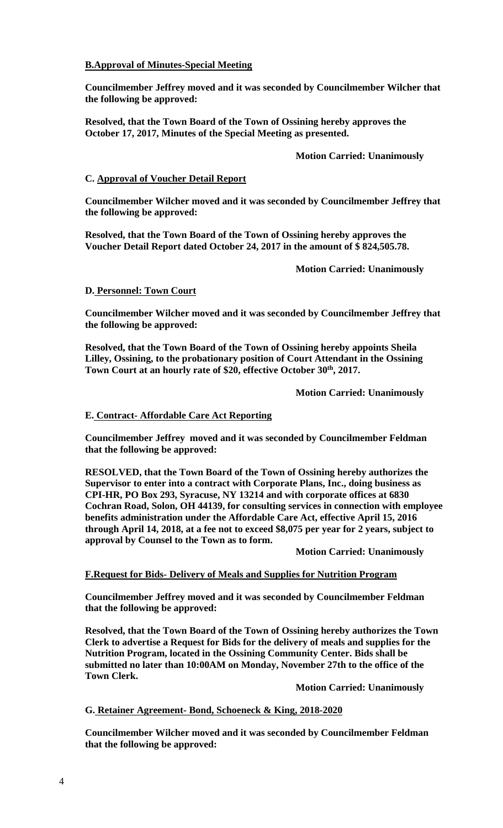# **B.Approval of Minutes-Special Meeting**

**Councilmember Jeffrey moved and it was seconded by Councilmember Wilcher that the following be approved:** 

**Resolved, that the Town Board of the Town of Ossining hereby approves the October 17, 2017, Minutes of the Special Meeting as presented.** 

# **Motion Carried: Unanimously**

# **C. Approval of Voucher Detail Report**

**Councilmember Wilcher moved and it was seconded by Councilmember Jeffrey that the following be approved:** 

**Resolved, that the Town Board of the Town of Ossining hereby approves the Voucher Detail Report dated October 24, 2017 in the amount of \$ 824,505.78.** 

 **Motion Carried: Unanimously** 

# **D. Personnel: Town Court**

**Councilmember Wilcher moved and it was seconded by Councilmember Jeffrey that the following be approved:** 

**Resolved, that the Town Board of the Town of Ossining hereby appoints Sheila Lilley, Ossining, to the probationary position of Court Attendant in the Ossining**  Town Court at an hourly rate of \$20, effective October 30<sup>th</sup>, 2017.

 **Motion Carried: Unanimously** 

# **E. Contract- Affordable Care Act Reporting**

**Councilmember Jeffrey moved and it was seconded by Councilmember Feldman that the following be approved:** 

**RESOLVED, that the Town Board of the Town of Ossining hereby authorizes the Supervisor to enter into a contract with Corporate Plans, Inc., doing business as CPI-HR, PO Box 293, Syracuse, NY 13214 and with corporate offices at 6830 Cochran Road, Solon, OH 44139, for consulting services in connection with employee benefits administration under the Affordable Care Act, effective April 15, 2016 through April 14, 2018, at a fee not to exceed \$8,075 per year for 2 years, subject to approval by Counsel to the Town as to form.** 

 **Motion Carried: Unanimously** 

## **F.Request for Bids- Delivery of Meals and Supplies for Nutrition Program**

**Councilmember Jeffrey moved and it was seconded by Councilmember Feldman that the following be approved:** 

**Resolved, that the Town Board of the Town of Ossining hereby authorizes the Town Clerk to advertise a Request for Bids for the delivery of meals and supplies for the Nutrition Program, located in the Ossining Community Center. Bids shall be submitted no later than 10:00AM on Monday, November 27th to the office of the Town Clerk.** 

 **Motion Carried: Unanimously**

**G. Retainer Agreement- Bond, Schoeneck & King, 2018-2020**

**Councilmember Wilcher moved and it was seconded by Councilmember Feldman that the following be approved:**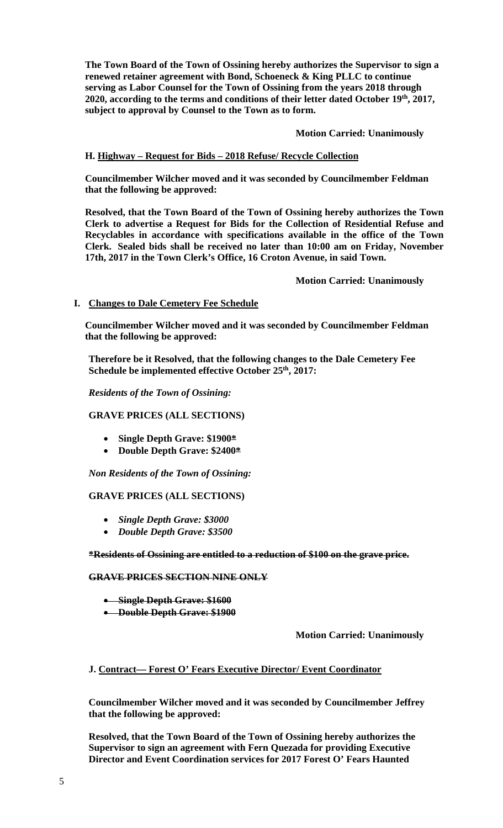**The Town Board of the Town of Ossining hereby authorizes the Supervisor to sign a renewed retainer agreement with Bond, Schoeneck & King PLLC to continue serving as Labor Counsel for the Town of Ossining from the years 2018 through 2020, according to the terms and conditions of their letter dated October 19th, 2017, subject to approval by Counsel to the Town as to form.** 

#### **Motion Carried: Unanimously**

## **H. Highway – Request for Bids – 2018 Refuse/ Recycle Collection**

**Councilmember Wilcher moved and it was seconded by Councilmember Feldman that the following be approved:** 

**Resolved, that the Town Board of the Town of Ossining hereby authorizes the Town Clerk to advertise a Request for Bids for the Collection of Residential Refuse and Recyclables in accordance with specifications available in the office of the Town Clerk. Sealed bids shall be received no later than 10:00 am on Friday, November 17th, 2017 in the Town Clerk's Office, 16 Croton Avenue, in said Town.** 

 **Motion Carried: Unanimously**

#### **I. Changes to Dale Cemetery Fee Schedule**

**Councilmember Wilcher moved and it was seconded by Councilmember Feldman that the following be approved:** 

**Therefore be it Resolved, that the following changes to the Dale Cemetery Fee Schedule be implemented effective October 25th, 2017:** 

*Residents of the Town of Ossining:* 

## **GRAVE PRICES (ALL SECTIONS)**

- **Single Depth Grave: \$1900\***
- **Double Depth Grave: \$2400\***

*Non Residents of the Town of Ossining:* 

#### **GRAVE PRICES (ALL SECTIONS)**

- *Single Depth Grave: \$3000*
- *Double Depth Grave: \$3500*

**\*Residents of Ossining are entitled to a reduction of \$100 on the grave price.** 

#### **GRAVE PRICES SECTION NINE ONLY**

- **Single Depth Grave: \$1600**
- **Double Depth Grave: \$1900**

**Motion Carried: Unanimously**

## **J. Contract— Forest O' Fears Executive Director/ Event Coordinator**

**Councilmember Wilcher moved and it was seconded by Councilmember Jeffrey that the following be approved:** 

**Resolved, that the Town Board of the Town of Ossining hereby authorizes the Supervisor to sign an agreement with Fern Quezada for providing Executive Director and Event Coordination services for 2017 Forest O' Fears Haunted**